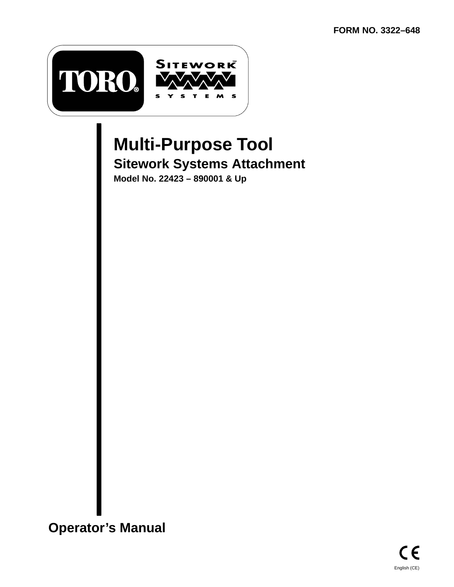

# **Multi-Purpose Tool Sitework Systems Attachment**

**Model No. 22423 – 890001 & Up**

**Operator's Manual**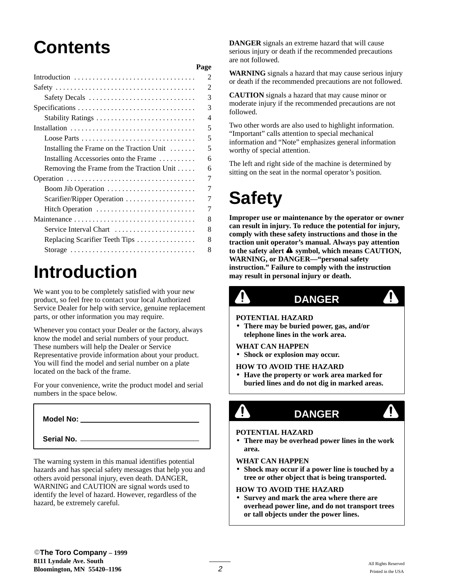# **Contents**

|                                           | Page           |
|-------------------------------------------|----------------|
| Introduction                              | 2              |
|                                           | $\overline{c}$ |
| Safety Decals                             | 3              |
|                                           | 3              |
|                                           | Δ              |
|                                           | 5              |
| Loose Parts                               | 5              |
| Installing the Frame on the Traction Unit | 5              |
| Installing Accessories onto the Frame     | 6              |
| Removing the Frame from the Traction Unit | 6              |
|                                           | 7              |
|                                           | 7              |
|                                           | 7              |
| Hitch Operation                           | 7              |
|                                           | 8              |
| Service Interval Chart                    | 8              |
| Replacing Scarifier Teeth Tips            | 8              |
| Storage                                   | 8              |
|                                           |                |

# **Introduction**

We want you to be completely satisfied with your new product, so feel free to contact your local Authorized Service Dealer for help with service, genuine replacement parts, or other information you may require.

Whenever you contact your Dealer or the factory, always know the model and serial numbers of your product. These numbers will help the Dealer or Service Representative provide information about your product. You will find the model and serial number on a plate located on the back of the frame.

For your convenience, write the product model and serial numbers in the space below.

## **Model No:**

## **Serial No.**

The warning system in this manual identifies potential hazards and has special safety messages that help you and others avoid personal injury, even death. DANGER, WARNING and CAUTION are signal words used to identify the level of hazard. However, regardless of the hazard, be extremely careful.

**DANGER** signals an extreme hazard that will cause serious injury or death if the recommended precautions are not followed.

**WARNING** signals a hazard that may cause serious injury or death if the recommended precautions are not followed.

**CAUTION** signals a hazard that may cause minor or moderate injury if the recommended precautions are not followed.

Two other words are also used to highlight information. "Important" calls attention to special mechanical information and "Note" emphasizes general information worthy of special attention.

The left and right side of the machine is determined by sitting on the seat in the normal operator's position.

# **Safety**

**Improper use or maintenance by the operator or owner can result in injury. To reduce the potential for injury, comply with these safety instructions and those in the traction unit operator's manual. Always pay attention** to the safety alert  $\triangle$  symbol, which means CAUTION, **WARNING, or DANGER—"personal safety instruction." Failure to comply with the instruction may result in personal injury or death.**



```
DANGER
```
#### **POTENTIAL HAZARD**

• **There may be buried power, gas, and/or telephone lines in the work area.**

### **WHAT CAN HAPPEN**

• **Shock or explosion may occur.**

**HOW TO AVOID THE HAZARD**

- **Have the property or work area marked for buried lines and do not dig in marked areas.**
	- T

# T)

<u>4</u>

#### **POTENTIAL HAZARD**

• **There may be overhead power lines in the work area.**

**DANGER**

### **WHAT CAN HAPPEN**

• **Shock may occur if a power line is touched by a tree or other object that is being transported.**

## **HOW TO AVOID THE HAZARD**

• **Survey and mark the area where there are overhead power line, and do not transport trees or tall objects under the power lines.**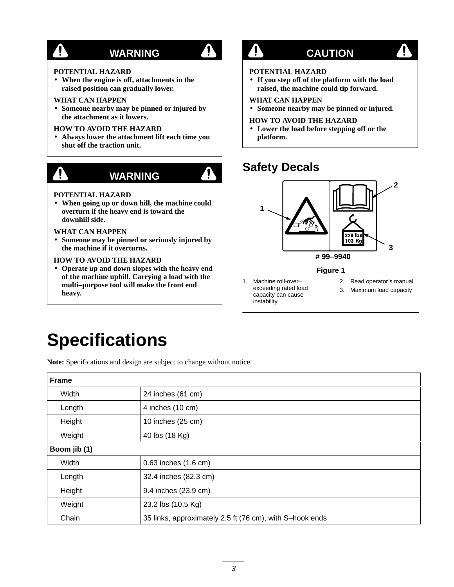# **WARNING**

### **POTENTIAL HAZARD**

• **When the engine is off, attachments in the raised position can gradually lower.**

### **WHAT CAN HAPPEN**

• **Someone nearby may be pinned or injured by the attachment as it lowers.**

## **HOW TO AVOID THE HAZARD**

• **Always lower the attachment lift each time you shut off the traction unit.**



# **WARNING**

## **POTENTIAL HAZARD**

• **When going up or down hill, the machine could overturn if the heavy end is toward the downhill side.**

**WHAT CAN HAPPEN**

• **Someone may be pinned or seriously injured by the machine if it overturns.**

## **HOW TO AVOID THE HAZARD**

• **Operate up and down slopes with the heavy end of the machine uphill. Carrying a load with the multi–purpose tool will make the front end heavy.**

# $\mathbf{\Psi}$

 $\mathbf{A}$ 

4

## **CAUTION**

4

## **POTENTIAL HAZARD**

• **If you step off of the platform with the load raised, the machine could tip forward.**

## **WHAT CAN HAPPEN**

• **Someone nearby may be pinned or injured.**

## **HOW TO AVOID THE HAZARD**

• **Lower the load before stepping off or the platform.**

# **Safety Decals**



**Figure 1**

- 1. Machine roll-over– exceeding rated load capacity can cause instability
- 2. Read operator's manual
- 3. Maximum load capacity

# **Specifications**

**Note:** Specifications and design are subject to change without notice.

| <b>Frame</b> |                                                          |
|--------------|----------------------------------------------------------|
| Width        | 24 inches (61 cm)                                        |
| Length       | 4 inches (10 cm)                                         |
| Height       | 10 inches (25 cm)                                        |
| Weight       | 40 lbs (18 Kg)                                           |
| Boom jib (1) |                                                          |
| Width        | 0.63 inches (1.6 cm)                                     |
| Length       | 32.4 inches (82.3 cm)                                    |
| Height       | 9.4 inches (23.9 cm)                                     |
| Weight       | 23.2 lbs (10.5 Kg)                                       |
| Chain        | 35 links, approximately 2.5 ft (76 cm), with S-hook ends |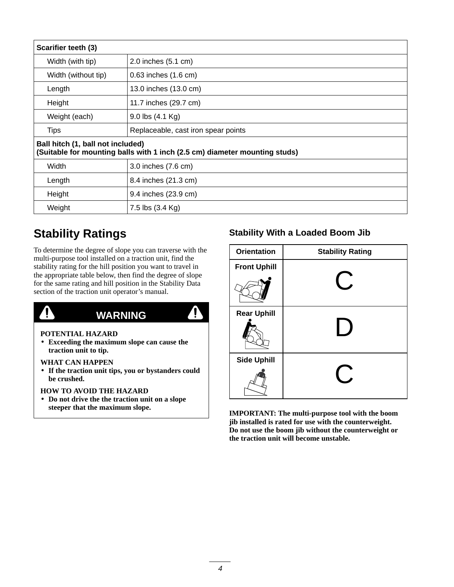| Scarifier teeth (3)                                                                                             |                                     |  |  |  |
|-----------------------------------------------------------------------------------------------------------------|-------------------------------------|--|--|--|
| Width (with tip)                                                                                                | 2.0 inches (5.1 cm)                 |  |  |  |
| Width (without tip)                                                                                             | $0.63$ inches $(1.6 \text{ cm})$    |  |  |  |
| Length                                                                                                          | 13.0 inches (13.0 cm)               |  |  |  |
| Height                                                                                                          | 11.7 inches (29.7 cm)               |  |  |  |
| Weight (each)                                                                                                   | $9.0$ lbs $(4.1 \text{ Kg})$        |  |  |  |
| <b>Tips</b>                                                                                                     | Replaceable, cast iron spear points |  |  |  |
| Ball hitch (1, ball not included)<br>(Suitable for mounting balls with 1 inch (2.5 cm) diameter mounting studs) |                                     |  |  |  |
| Width                                                                                                           | 3.0 inches (7.6 cm)                 |  |  |  |
| Length                                                                                                          | 8.4 inches (21.3 cm)                |  |  |  |
| Height                                                                                                          | 9.4 inches (23.9 cm)                |  |  |  |
| Weight                                                                                                          | 7.5 lbs (3.4 Kg)                    |  |  |  |

 $\mathbf{\Phi}$ 

# **Stability Ratings**

To determine the degree of slope you can traverse with the multi-purpose tool installed on a traction unit, find the stability rating for the hill position you want to travel in the appropriate table below, then find the degree of slope for the same rating and hill position in the Stability Data section of the traction unit operator's manual.

# $\mathbf{r}$

## **WARNING**

## **POTENTIAL HAZARD**

• **Exceeding the maximum slope can cause the traction unit to tip.**

## **WHAT CAN HAPPEN**

• **If the traction unit tips, you or bystanders could be crushed.**

## **HOW TO AVOID THE HAZARD**

• **Do not drive the the traction unit on a slope steeper that the maximum slope.**

## **Stability With a Loaded Boom Jib**

| <b>Orientation</b>  | <b>Stability Rating</b> |
|---------------------|-------------------------|
| <b>Front Uphill</b> |                         |
|                     |                         |
| <b>Rear Uphill</b>  |                         |
| <b>Side Uphill</b>  |                         |

**IMPORTANT: The multi-purpose tool with the boom jib installed is rated for use with the counterweight. Do not use the boom jib without the counterweight or the traction unit will become unstable.**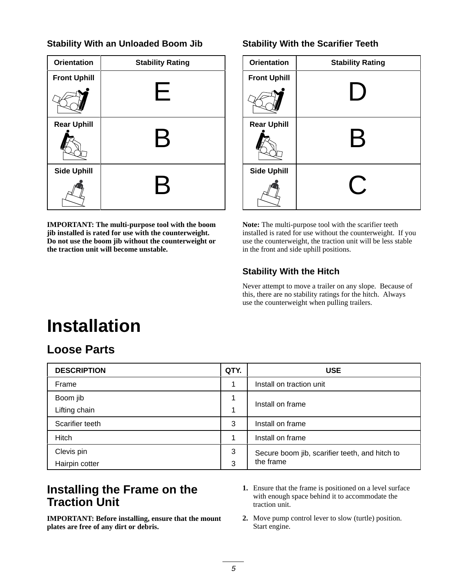## **Stability With an Unloaded Boom Jib**

| <b>Orientation</b>  | <b>Stability Rating</b>   |
|---------------------|---------------------------|
| <b>Front Uphill</b> |                           |
|                     | ⊢                         |
| <b>Rear Uphill</b>  |                           |
|                     | $\bm{\mathsf{B}}$         |
| <b>Side Uphill</b>  |                           |
|                     | $\boldsymbol{\mathsf{B}}$ |

**IMPORTANT: The multi-purpose tool with the boom jib installed is rated for use with the counterweight. Do not use the boom jib without the counterweight or the traction unit will become unstable.**

## **Stability With the Scarifier Teeth**

| <b>Orientation</b>  | <b>Stability Rating</b> |  |  |  |  |
|---------------------|-------------------------|--|--|--|--|
| <b>Front Uphill</b> |                         |  |  |  |  |
|                     |                         |  |  |  |  |
| <b>Rear Uphill</b>  | $\leftrightarrow$       |  |  |  |  |
| <b>Side Uphill</b>  |                         |  |  |  |  |

**Note:** The multi-purpose tool with the scarifier teeth installed is rated for use without the counterweight. If you use the counterweight, the traction unit will be less stable in the front and side uphill positions.

## **Stability With the Hitch**

Never attempt to move a trailer on any slope. Because of this, there are no stability ratings for the hitch. Always use the counterweight when pulling trailers.

# **Installation**

## **Loose Parts**

| <b>DESCRIPTION</b> | QTY. | <b>USE</b>                                     |
|--------------------|------|------------------------------------------------|
| Frame              |      | Install on traction unit                       |
| Boom jib           |      | Install on frame                               |
| Lifting chain      |      |                                                |
| Scarifier teeth    | 3    | Install on frame                               |
| Hitch              |      | Install on frame                               |
| Clevis pin         | 3    | Secure boom jib, scarifier teeth, and hitch to |
| Hairpin cotter     | 3    | the frame                                      |

## **Installing the Frame on the Traction Unit**

**IMPORTANT: Before installing, ensure that the mount plates are free of any dirt or debris.**

- **1.** Ensure that the frame is positioned on a level surface with enough space behind it to accommodate the traction unit.
- **2.** Move pump control lever to slow (turtle) position. Start engine.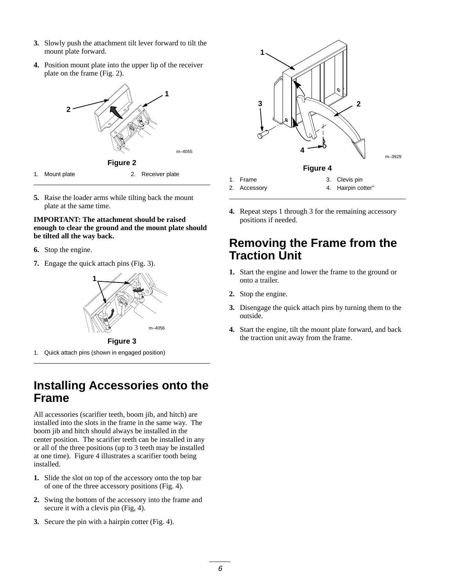- **3.** Slowly push the attachment tilt lever forward to tilt the mount plate forward.
- **4.** Position mount plate into the upper lip of the receiver plate on the frame (Fig. 2).



**5.** Raise the loader arms while tilting back the mount plate at the same time.

## **IMPORTANT: The attachment should be raised enough to clear the ground and the mount plate should be tilted all the way back.**

- **6.** Stop the engine.
- **7.** Engage the quick attach pins (Fig. 3).



**Figure 3**

1. Quick attach pins (shown in engaged position)

## **Installing Accessories onto the Frame**

All accessories (scarifier teeth, boom jib, and hitch) are installed into the slots in the frame in the same way. The boom jib and hitch should always be installed in the center position. The scarifier teeth can be installed in any or all of the three positions (up to 3 teeth may be installed at one time). Figure 4 illustrates a scarifier tooth being installed.

- **1.** Slide the slot on top of the accessory onto the top bar of one of the three accessory positions (Fig. 4).
- **2.** Swing the bottom of the accessory into the frame and secure it with a clevis pin (Fig, 4).
- **3.** Secure the pin with a hairpin cotter (Fig. 4).



**4.** Repeat steps 1 through 3 for the remaining accessory positions if needed.

## **Removing the Frame from the Traction Unit**

- **1.** Start the engine and lower the frame to the ground or onto a trailer.
- **2.** Stop the engine.
- **3.** Disengage the quick attach pins by turning them to the outside.
- **4.** Start the engine, tilt the mount plate forward, and back the traction unit away from the frame.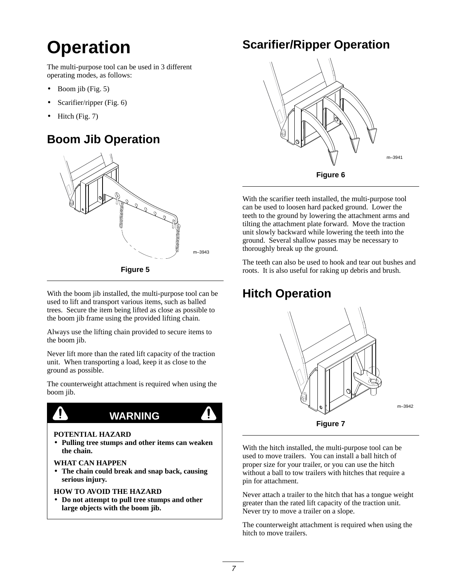# **Operation**

The multi-purpose tool can be used in 3 different operating modes, as follows:

- Boom jib (Fig. 5)
- Scarifier/ripper (Fig. 6)
- Hitch (Fig. 7)

# **Boom Jib Operation**



With the boom jib installed, the multi-purpose tool can be used to lift and transport various items, such as balled trees. Secure the item being lifted as close as possible to the boom jib frame using the provided lifting chain.

Always use the lifting chain provided to secure items to the boom jib.

Never lift more than the rated lift capacity of the traction unit. When transporting a load, keep it as close to the ground as possible.

The counterweight attachment is required when using the boom jib.



## **POTENTIAL HAZARD**

• **Pulling tree stumps and other items can weaken the chain.**

**WARNING**

**WHAT CAN HAPPEN**

• **The chain could break and snap back, causing serious injury.**

## **HOW TO AVOID THE HAZARD**

• **Do not attempt to pull tree stumps and other large objects with the boom jib.**

## **Scarifier/Ripper Operation**



With the scarifier teeth installed, the multi-purpose tool can be used to loosen hard packed ground. Lower the teeth to the ground by lowering the attachment arms and tilting the attachment plate forward. Move the traction unit slowly backward while lowering the teeth into the ground. Several shallow passes may be necessary to thoroughly break up the ground.

The teeth can also be used to hook and tear out bushes and roots. It is also useful for raking up debris and brush.

# **Hitch Operation**



With the hitch installed, the multi-purpose tool can be used to move trailers. You can install a ball hitch of proper size for your trailer, or you can use the hitch without a ball to tow trailers with hitches that require a pin for attachment.

Never attach a trailer to the hitch that has a tongue weight greater than the rated lift capacity of the traction unit. Never try to move a trailer on a slope.

The counterweight attachment is required when using the hitch to move trailers.